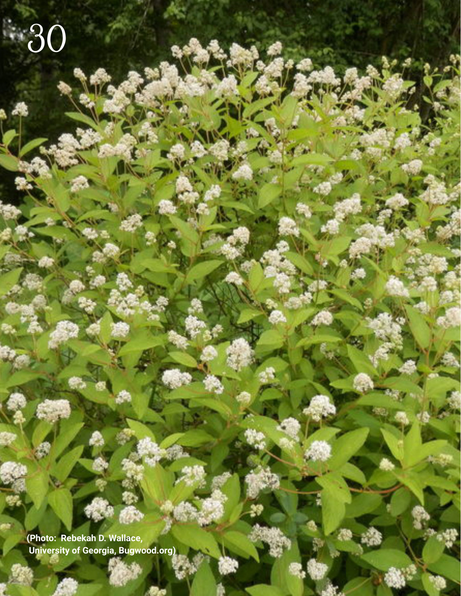**(Photo: Rebekah D. Wallace, University of Georgia, Bugwood.org)**

30

Southern **SOIL** 30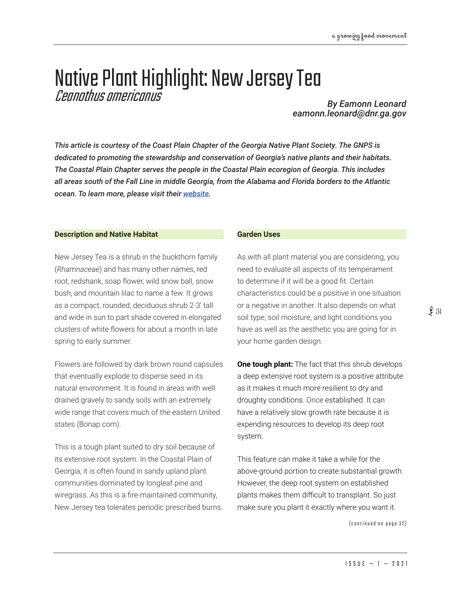# Native Plant Highlight: New Jersey Tea Ceanothus americanus *By Eamonn Leonard*

*eamonn.leonard@dnr.ga.gov*

*This article is courtesy of the Coast Plain Chapter of the Georgia Native Plant Society. The GNPS is dedicated to promoting the stewardship and conservation of Georgia's native plants and their habitats. The Coastal Plain Chapter serves the people in the Coastal Plain ecoregion of Georgia. This includes all areas south of the Fall Line in middle Georgia, from the Alabama and Florida borders to the Atlantic ocean. To learn more, please visit their [website.](https://gnps.org/chapters/coastal-plains-chapter/)*

## **Description and Native Habitat**

New Jersey Tea is a shrub in the buckthorn family (*Rhamnaceae*) and has many other names, red root, redshank, soap flower, wild snow ball, snow bush, and mountain lilac to name a few. It grows as a compact, rounded, deciduous shrub 2-3' tall and wide in sun to part shade covered in elongated clusters of white flowers for about a month in late spring to early summer.

Flowers are followed by dark brown round capsules that eventually explode to disperse seed in its natural environment. It is found in areas with well drained gravely to sandy soils with an extremely wide range that covers much of the eastern United states (Bonap.com).

This is a tough plant suited to dry soil because of its extensive root system. In the Coastal Plain of Georgia, it is often found in sandy upland plant communities dominated by longleaf pine and wiregrass. As this is a fire-maintained community, New Jersey tea tolerates periodic prescribed burns.

### **Garden Uses**

As with all plant material you are considering, you need to evaluate all aspects of its temperament to determine if it will be a good fit. Certain characteristics could be a positive in one situation or a negative in another. It also depends on what soil type, soil moisture, and light conditions you have as well as the aesthetic you are going for in your home garden design.

**One tough plant:** The fact that this shrub develops a deep extensive root system is a positive attribute as it makes it much more resilient to dry and droughty conditions. Once established. It can have a relatively slow growth rate because it is expending resources to develop its deep root system.

This feature can make it take a while for the above-ground portion to create substantial growth. However, the deep root system on established plants makes them difficult to transplant. So just make sure you plant it exactly where you want it.

(continued on page 32)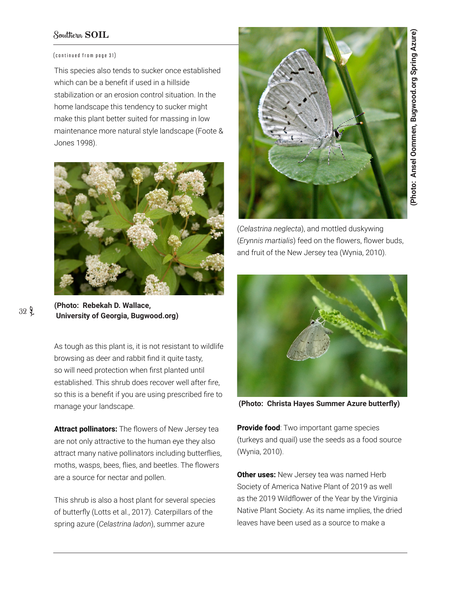# Southern **SOIL**

### (continued from page 31)

This species also tends to sucker once established which can be a benefit if used in a hillside stabilization or an erosion control situation. In the home landscape this tendency to sucker might make this plant better suited for massing in low maintenance more natural style landscape (Foote & Jones 1998).



**(Photo: Rebekah D. Wallace, University of Georgia, Bugwood.org)**

As tough as this plant is, it is not resistant to wildlife browsing as deer and rabbit find it quite tasty, so will need protection when first planted until established. This shrub does recover well after fire, so this is a benefit if you are using prescribed fire to manage your landscape.

**Attract pollinators:** The flowers of New Jersey tea are not only attractive to the human eye they also attract many native pollinators including butterflies, moths, wasps, bees, flies, and beetles. The flowers are a source for nectar and pollen.

This shrub is also a host plant for several species of butterfly (Lotts et al., 2017). Caterpillars of the spring azure (*Celastrina ladon*), summer azure



(Photo: Ansel Oommen, Bugwood.org Spring Azure) **(Photo: Ansel Oommen, Bugwood.org Spring Azure)**

(*Celastrina neglecta*), and mottled duskywing (*Erynnis martialis*) feed on the flowers, flower buds, and fruit of the New Jersey tea (Wynia, 2010).



**(Photo: Christa Hayes Summer Azure butterfly)**

**Provide food:** Two important game species (turkeys and quail) use the seeds as a food source (Wynia, 2010).

**Other uses:** New Jersey tea was named Herb Society of America Native Plant of 2019 as well as the 2019 Wildflower of the Year by the Virginia Native Plant Society. As its name implies, the dried leaves have been used as a source to make a